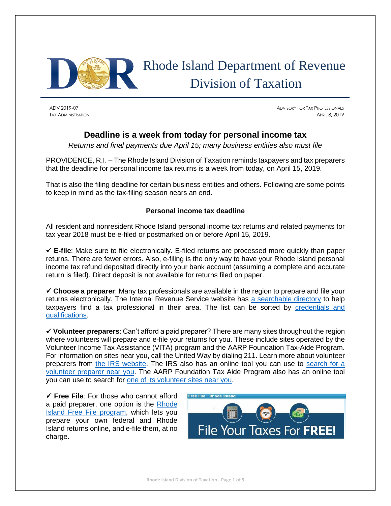

# Rhode Island Department of Revenue Division of Taxation

ADV 2019-07 ADVISORY FOR TAX PROFESSIONALS TAX ADMINISTRATION **APRIL 8, 2019** 

## **Deadline is a week from today for personal income tax**

*Returns and final payments due April 15; many business entities also must file*

PROVIDENCE, R.I. – The Rhode Island Division of Taxation reminds taxpayers and tax preparers that the deadline for personal income tax returns is a week from today, on April 15, 2019.

That is also the filing deadline for certain business entities and others. Following are some points to keep in mind as the tax-filing season nears an end.

## **Personal income tax deadline**

All resident and nonresident Rhode Island personal income tax returns and related payments for tax year 2018 must be e-filed or postmarked on or before April 15, 2019.

✓ **E-file**: Make sure to file electronically. E-filed returns are processed more quickly than paper returns. There are fewer errors. Also, e-filing is the only way to have your Rhode Island personal income tax refund deposited directly into your bank account (assuming a complete and accurate return is filed). Direct deposit is not available for returns filed on paper.

✓ **Choose a preparer**: Many tax professionals are available in the region to prepare and file your returns electronically. The Internal Revenue Service website has [a searchable directory](https://irs.treasury.gov/rpo/rpo.jsf) to help taxpayers find a tax professional in their area. The list can be sorted by credentials and [qualifications.](https://www.irs.gov/tax-professionals/understanding-tax-return-preparer-credentials-and-qualifications)

✓ **Volunteer preparers**: Can't afford a paid preparer? There are many sites throughout the region where volunteers will prepare and e-file your returns for you. These include sites operated by the Volunteer Income Tax Assistance (VITA) program and the AARP Foundation Tax-Aide Program. For information on sites near you, call the United Way by dialing 211. Learn more about volunteer preparers from [the IRS website.](https://www.irs.gov/individuals/free-tax-return-preparation-for-you-by-volunteers) The IRS also has an online tool you can use to [search for a](https://irs.treasury.gov/freetaxprep/)  [volunteer preparer near you.](https://irs.treasury.gov/freetaxprep/) The AARP Foundation Tax Aide Program also has an online tool you can use to search for [one of its volunteer sites near you.](https://secure.aarp.org/applications/VMISLocator/searchTaxAideLocations.action)

✓ **Free File**: For those who cannot afford a paid preparer, one option is the [Rhode](http://www.tax.ri.gov/misc/efile.php)  [Island Free File program,](http://www.tax.ri.gov/misc/efile.php) which lets you prepare your own federal and Rhode Island returns online, and e-file them, at no charge.

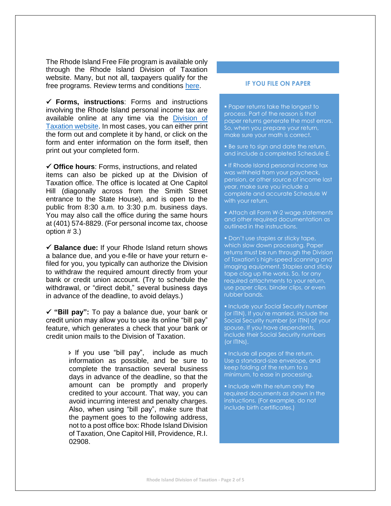The Rhode Island Free File program is available only through the Rhode Island Division of Taxation website. Many, but not all, taxpayers qualify for the free programs. Review terms and conditions [here.](http://www.tax.ri.gov/misc/efile.php)

✓ **Forms, instructions**: Forms and instructions involving the Rhode Island personal income tax are available online at any time via the **Division of** [Taxation website.](http://www.tax.ri.gov/taxforms/personal.php) In most cases, you can either print the form out and complete it by hand, or click on the form and enter information on the form itself, then print out your completed form.

✓ **Office hours**: Forms, instructions, and related items can also be picked up at the Division of Taxation office. The office is located at One Capitol Hill (diagonally across from the Smith Street entrance to the State House), and is open to the public from 8:30 a.m. to 3:30 p.m. business days. You may also call the office during the same hours at (401) 574-8829. (For personal income tax, choose option # 3.)

✓ **Balance due:** If your Rhode Island return shows a balance due, and you e-file or have your return efiled for you, you typically can authorize the Division to withdraw the required amount directly from your bank or credit union account. (Try to schedule the withdrawal, or "direct debit," several business days in advance of the deadline, to avoid delays.)

✓ **"Bill pay":** To pay a balance due, your bank or credit union may allow you to use its online "bill pay" feature, which generates a check that your bank or credit union mails to the Division of Taxation.

> If you use "bill pay", include as much information as possible, and be sure to complete the transaction several business days in advance of the deadline, so that the amount can be promptly and properly credited to your account. That way, you can avoid incurring interest and penalty charges. Also, when using "bill pay", make sure that the payment goes to the following address, not to a post office box: Rhode Island Division of Taxation, One Capitol Hill, Providence, R.I. 02908.

#### **IF YOU FILE ON PAPER**

▪ Paper returns take the longest to process. Part of the reason is that paper returns generate the most errors. So, when you prepare your return, make sure your math is correct.

**Be sure to sign and date the return,** and include a completed Schedule E.

**. If Rhode Island personal income tax** was withheld from your paycheck, pension, or other source of income last year, make sure you include a complete and accurate Schedule W with your return.

**EXECT:** Attach all Form W-2 wage statements and other required documentation as outlined in the instructions.

**• Don't use staples or sticky tape,** which slow down processing. Paper returns must be run through the Division of Taxation's high-speed scanning and imaging equipment. Staples and sticky tape clog up the works. So, for any required attachments to your return, use paper clips, binder clips, or even rubber bands.

**.** Include your Social Security number (or ITIN). If you're married, include the Social Security number (or ITIN) of your spouse. If you have dependents, include their Social Security numbers (or ITINs).

▪ Include all pages of the return. Use a standard-size envelope, and keep folding of the return to a minimum, to ease in processing.

**.** Include with the return only the required documents as shown in the instructions. (For example, do not include birth certificates.)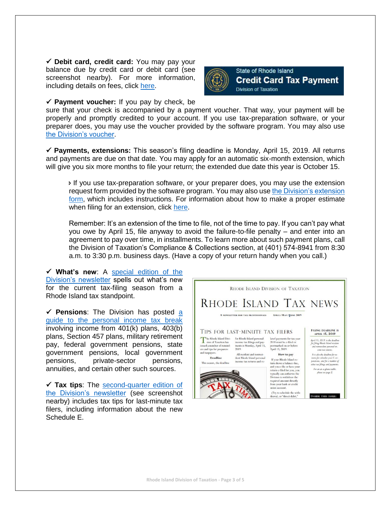✓ **Debit card, credit card:** You may pay your balance due by credit card or debit card (see screenshot nearby). For more information, including details on fees, click [here.](http://www.tax.ri.gov/misc/creditcard.php)



✓ **Payment voucher:** If you pay by check, be

sure that your check is accompanied by a payment voucher. That way, your payment will be properly and promptly credited to your account. If you use tax-preparation software, or your preparer does, you may use the voucher provided by the software program. You may also use [the Division's voucher.](http://www.tax.ri.gov/forms/2018/Income/2018%20RI-1040V_Onem.pdf)

✓ **Payments, extensions:** This season's filing deadline is Monday, April 15, 2019. All returns and payments are due on that date. You may apply for an automatic six-month extension, which will give you six more months to file your return; the extended due date this year is October 15.

 If you use tax-preparation software, or your preparer does, you may use the extension request form provided by the software program. You may also use [the Division's extension](http://www.tax.ri.gov/forms/2018/Income/2018%20RI-4868_Onem.pdf)  [form,](http://www.tax.ri.gov/forms/2018/Income/2018%20RI-4868_Onem.pdf) which includes instructions. For information about how to make a proper estimate when filing for an extension, click [here.](http://www.tax.ri.gov/newsletter/Rhode%20Island%20Division%20of%20Taxation%20newsletter%20-%202nd%20Q%202013.pdf)

Remember: It's an extension of the time to file, not of the time to pay. If you can't pay what you owe by April 15, file anyway to avoid the failure-to-file penalty – and enter into an agreement to pay over time, in installments. To learn more about such payment plans, call the Division of Taxation's Compliance & Collections section, at (401) 574-8941 from 8:30 a.m. to 3:30 p.m. business days. (Have a copy of your return handy when you call.)

✓ **What's new**: A [special edition of the](http://www.tax.ri.gov/newsletter/Rhode_Island_Division_of_Taxation_Newsletter_Filing_Season_2019.pdf)  [Division's newsletter](http://www.tax.ri.gov/newsletter/Rhode_Island_Division_of_Taxation_Newsletter_Filing_Season_2019.pdf) spells out what's new for the current tax-filing season from a Rhode Island tax standpoint.

✓ **Pensions**: The Division has posted [a](http://www.tax.ri.gov/notice/Pub._2019_01_Guide_to_tax_break_on_pension_income_02_07_19.pdf)  [guide to the personal income tax break](http://www.tax.ri.gov/notice/Pub._2019_01_Guide_to_tax_break_on_pension_income_02_07_19.pdf) involving income from 401(k) plans, 403(b) plans, Section 457 plans, military retirement pay, federal government pensions, state government pensions, local government pensions, private-sector pensions, annuities, and certain other such sources.

✓ **Tax tips**: The [second-quarter edition of](http://www.tax.ri.gov/newsletter/Rhode_Island_Division_of_Taxation_Newsletter_Second_Quarter_2019.pdf)  [the Division's newsletter](http://www.tax.ri.gov/newsletter/Rhode_Island_Division_of_Taxation_Newsletter_Second_Quarter_2019.pdf) (see screenshot nearby) includes tax tips for last-minute tax filers, including information about the new Schedule E.

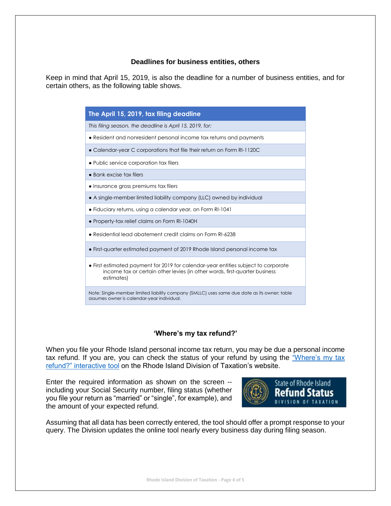### **Deadlines for business entities, others**

Keep in mind that April 15, 2019, is also the deadline for a number of business entities, and for certain others, as the following table shows.

> **The April 15, 2019, tax filing deadline** *This filing season, the deadline is April 15, 2019, for:* ● Resident and nonresident personal income tax returns and payments ● Calendar-year C corporations that file their return on Form RI-1120C ● Public service corporation tax filers ● Bank excise tax filers ● Insurance gross premiums tax filers ● A single-member limited liability company (LLC) owned by individual ● Fiduciary returns, using a calendar year, on Form RI-1041 ● Property-tax relief claims on Form RI-1040H ● Residential lead abatement credit claims on Form RI-6238 ● First-quarter estimated payment of 2019 Rhode Island personal income tax ● First estimated payment for 2019 for calendar-year entities subject to corporate income tax or certain other levies (in other words, first-quarter business estimates) Note: Single‐member limited liability company (SMLLC) uses same due date as its owner; table assumes owner is calendar-year individual.

## **'Where's my tax refund?'**

When you file your Rhode Island personal income tax return, you may be due a personal income tax refund. If you are, you can check the status of your refund by using the ["Where's my tax](https://www.ri.gov/taxation/refund/)  [refund?" interactive tool](https://www.ri.gov/taxation/refund/) on the Rhode Island Division of Taxation's website.

Enter the required information as shown on the screen - including your Social Security number, filing status (whether you file your return as "married" or "single", for example), and the amount of your expected refund.



Assuming that all data has been correctly entered, the tool should offer a prompt response to your query. The Division updates the online tool nearly every business day during filing season.